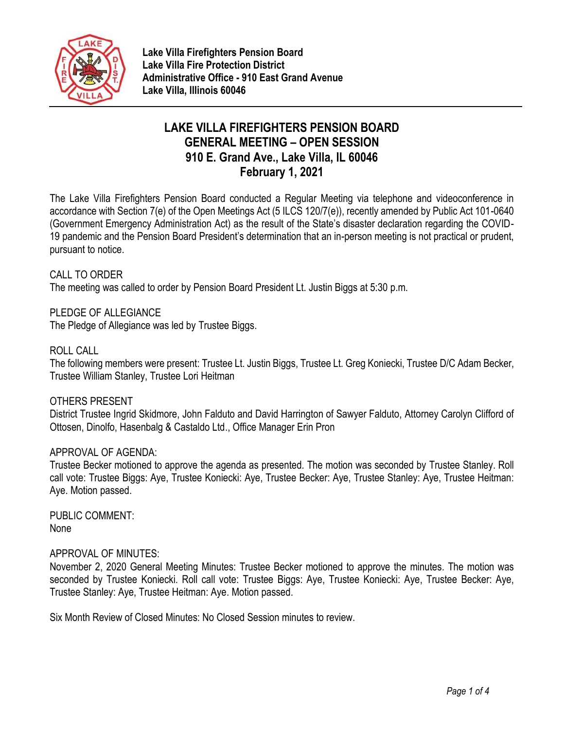

# **LAKE VILLA FIREFIGHTERS PENSION BOARD GENERAL MEETING – OPEN SESSION 910 E. Grand Ave., Lake Villa, IL 60046 February 1, 2021**

The Lake Villa Firefighters Pension Board conducted a Regular Meeting via telephone and videoconference in accordance with Section 7(e) of the Open Meetings Act (5 ILCS 120/7(e)), recently amended by Public Act 101-0640 (Government Emergency Administration Act) as the result of the State's disaster declaration regarding the COVID-19 pandemic and the Pension Board President's determination that an in-person meeting is not practical or prudent, pursuant to notice.

## CALL TO ORDER

The meeting was called to order by Pension Board President Lt. Justin Biggs at 5:30 p.m.

PLEDGE OF ALLEGIANCE

The Pledge of Allegiance was led by Trustee Biggs.

## ROLL CALL

The following members were present: Trustee Lt. Justin Biggs, Trustee Lt. Greg Koniecki, Trustee D/C Adam Becker, Trustee William Stanley, Trustee Lori Heitman

### OTHERS PRESENT

District Trustee Ingrid Skidmore, John Falduto and David Harrington of Sawyer Falduto, Attorney Carolyn Clifford of Ottosen, Dinolfo, Hasenbalg & Castaldo Ltd., Office Manager Erin Pron

### APPROVAL OF AGENDA:

Trustee Becker motioned to approve the agenda as presented. The motion was seconded by Trustee Stanley. Roll call vote: Trustee Biggs: Aye, Trustee Koniecki: Aye, Trustee Becker: Aye, Trustee Stanley: Aye, Trustee Heitman: Aye. Motion passed.

PUBLIC COMMENT: None

### APPROVAL OF MINUTES:

November 2, 2020 General Meeting Minutes: Trustee Becker motioned to approve the minutes. The motion was seconded by Trustee Koniecki. Roll call vote: Trustee Biggs: Aye, Trustee Koniecki: Aye, Trustee Becker: Aye, Trustee Stanley: Aye, Trustee Heitman: Aye. Motion passed.

Six Month Review of Closed Minutes: No Closed Session minutes to review.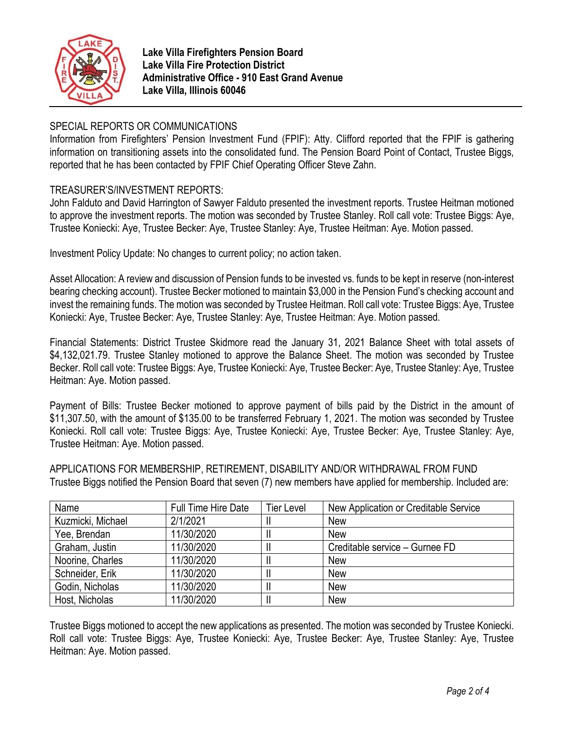

# SPECIAL REPORTS OR COMMUNICATIONS

Information from Firefighters' Pension Investment Fund (FPIF): Atty. Clifford reported that the FPIF is gathering information on transitioning assets into the consolidated fund. The Pension Board Point of Contact, Trustee Biggs, reported that he has been contacted by FPIF Chief Operating Officer Steve Zahn.

# TREASURER'S/INVESTMENT REPORTS:

John Falduto and David Harrington of Sawyer Falduto presented the investment reports. Trustee Heitman motioned to approve the investment reports. The motion was seconded by Trustee Stanley. Roll call vote: Trustee Biggs: Aye, Trustee Koniecki: Aye, Trustee Becker: Aye, Trustee Stanley: Aye, Trustee Heitman: Aye. Motion passed.

Investment Policy Update: No changes to current policy; no action taken.

Asset Allocation: A review and discussion of Pension funds to be invested vs. funds to be kept in reserve (non-interest bearing checking account). Trustee Becker motioned to maintain \$3,000 in the Pension Fund's checking account and invest the remaining funds. The motion was seconded by Trustee Heitman. Roll call vote: Trustee Biggs: Aye, Trustee Koniecki: Aye, Trustee Becker: Aye, Trustee Stanley: Aye, Trustee Heitman: Aye. Motion passed.

Financial Statements: District Trustee Skidmore read the January 31, 2021 Balance Sheet with total assets of \$4,132,021.79. Trustee Stanley motioned to approve the Balance Sheet. The motion was seconded by Trustee Becker. Roll call vote: Trustee Biggs: Aye, Trustee Koniecki: Aye, Trustee Becker: Aye, Trustee Stanley: Aye, Trustee Heitman: Aye. Motion passed.

Payment of Bills: Trustee Becker motioned to approve payment of bills paid by the District in the amount of \$11,307.50, with the amount of \$135.00 to be transferred February 1, 2021. The motion was seconded by Trustee Koniecki. Roll call vote: Trustee Biggs: Aye, Trustee Koniecki: Aye, Trustee Becker: Aye, Trustee Stanley: Aye, Trustee Heitman: Aye. Motion passed.

| Name              | Full Time Hire Date | <b>Tier Level</b> | New Application or Creditable Service |
|-------------------|---------------------|-------------------|---------------------------------------|
| Kuzmicki, Michael | 2/1/2021            |                   | <b>New</b>                            |
| Yee, Brendan      | 11/30/2020          |                   | <b>New</b>                            |
| Graham, Justin    | 11/30/2020          | Ш                 | Creditable service – Gurnee FD        |
| Noorine, Charles  | 11/30/2020          |                   | <b>New</b>                            |
| Schneider, Erik   | 11/30/2020          | Ш                 | <b>New</b>                            |
| Godin, Nicholas   | 11/30/2020          |                   | <b>New</b>                            |
| Host, Nicholas    | 11/30/2020          |                   | <b>New</b>                            |

APPLICATIONS FOR MEMBERSHIP, RETIREMENT, DISABILITY AND/OR WITHDRAWAL FROM FUND Trustee Biggs notified the Pension Board that seven (7) new members have applied for membership. Included are:

Trustee Biggs motioned to accept the new applications as presented. The motion was seconded by Trustee Koniecki. Roll call vote: Trustee Biggs: Aye, Trustee Koniecki: Aye, Trustee Becker: Aye, Trustee Stanley: Aye, Trustee Heitman: Aye. Motion passed.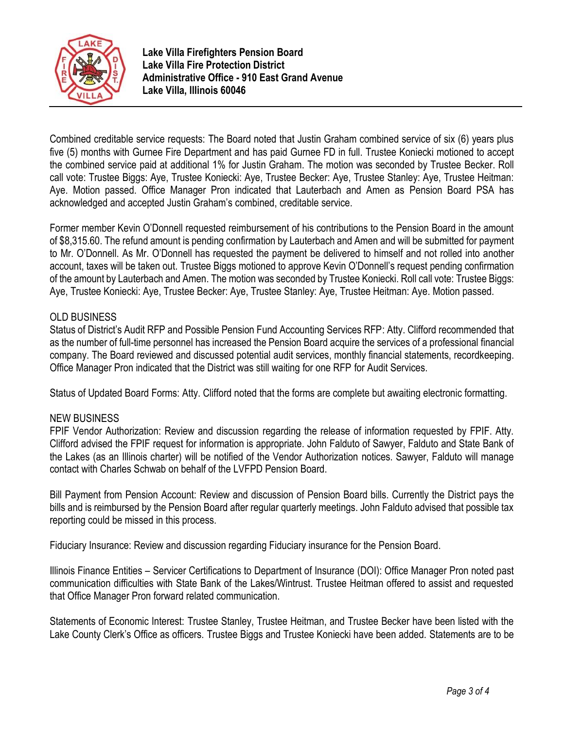

Combined creditable service requests: The Board noted that Justin Graham combined service of six (6) years plus five (5) months with Gurnee Fire Department and has paid Gurnee FD in full. Trustee Koniecki motioned to accept the combined service paid at additional 1% for Justin Graham. The motion was seconded by Trustee Becker. Roll call vote: Trustee Biggs: Aye, Trustee Koniecki: Aye, Trustee Becker: Aye, Trustee Stanley: Aye, Trustee Heitman: Aye. Motion passed. Office Manager Pron indicated that Lauterbach and Amen as Pension Board PSA has acknowledged and accepted Justin Graham's combined, creditable service.

Former member Kevin O'Donnell requested reimbursement of his contributions to the Pension Board in the amount of \$8,315.60. The refund amount is pending confirmation by Lauterbach and Amen and will be submitted for payment to Mr. O'Donnell. As Mr. O'Donnell has requested the payment be delivered to himself and not rolled into another account, taxes will be taken out. Trustee Biggs motioned to approve Kevin O'Donnell's request pending confirmation of the amount by Lauterbach and Amen. The motion was seconded by Trustee Koniecki. Roll call vote: Trustee Biggs: Aye, Trustee Koniecki: Aye, Trustee Becker: Aye, Trustee Stanley: Aye, Trustee Heitman: Aye. Motion passed.

## OLD BUSINESS

Status of District's Audit RFP and Possible Pension Fund Accounting Services RFP: Atty. Clifford recommended that as the number of full-time personnel has increased the Pension Board acquire the services of a professional financial company. The Board reviewed and discussed potential audit services, monthly financial statements, recordkeeping. Office Manager Pron indicated that the District was still waiting for one RFP for Audit Services.

Status of Updated Board Forms: Atty. Clifford noted that the forms are complete but awaiting electronic formatting.

### NEW BUSINESS

FPIF Vendor Authorization: Review and discussion regarding the release of information requested by FPIF. Atty. Clifford advised the FPIF request for information is appropriate. John Falduto of Sawyer, Falduto and State Bank of the Lakes (as an Illinois charter) will be notified of the Vendor Authorization notices. Sawyer, Falduto will manage contact with Charles Schwab on behalf of the LVFPD Pension Board.

Bill Payment from Pension Account: Review and discussion of Pension Board bills. Currently the District pays the bills and is reimbursed by the Pension Board after regular quarterly meetings. John Falduto advised that possible tax reporting could be missed in this process.

Fiduciary Insurance: Review and discussion regarding Fiduciary insurance for the Pension Board.

Illinois Finance Entities – Servicer Certifications to Department of Insurance (DOI): Office Manager Pron noted past communication difficulties with State Bank of the Lakes/Wintrust. Trustee Heitman offered to assist and requested that Office Manager Pron forward related communication.

Statements of Economic Interest: Trustee Stanley, Trustee Heitman, and Trustee Becker have been listed with the Lake County Clerk's Office as officers. Trustee Biggs and Trustee Koniecki have been added. Statements are to be